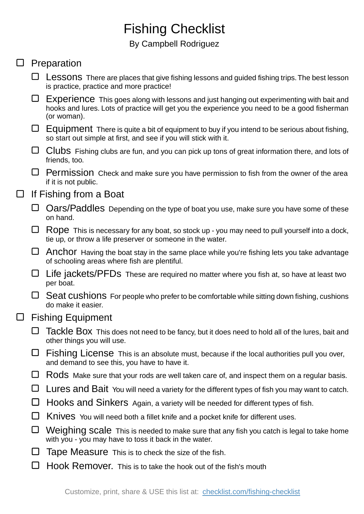# Fishing Checklist

### By Campbell Rodriguez

### $\square$  Preparation

- $\Box$  Lessons There are places that give fishing lessons and guided fishing trips. The best lesson is practice, practice and more practice!
- $\Box$  Experience This goes along with lessons and just hanging out experimenting with bait and hooks and lures. Lots of practice will get you the experience you need to be a good fisherman (or woman).
- $\Box$  Equipment There is quite a bit of equipment to buy if you intend to be serious about fishing, so start out simple at first, and see if you will stick with it.
- $\Box$  Clubs Fishing clubs are fun, and you can pick up tons of great information there, and lots of friends, too.
- $\Box$  Permission Check and make sure you have permission to fish from the owner of the area if it is not public.

#### $\Box$ If Fishing from a Boat

- $\Box$  Oars/Paddles Depending on the type of boat you use, make sure you have some of these on hand.
- $\Box$  Rope This is necessary for any boat, so stock up you may need to pull yourself into a dock, tie up, or throw a life preserver or someone in the water.
- $\Box$  Anchor Having the boat stay in the same place while you're fishing lets you take advantage of schooling areas where fish are plentiful.
- $\Box$  Life jackets/PFDs These are required no matter where you fish at, so have at least two per boat.
- $\Box$  Seat cushions For people who prefer to be comfortable while sitting down fishing, cushions do make it easier.

#### Fishing Equipment  $\Box$

- $\Box$  Tackle Box This does not need to be fancy, but it does need to hold all of the lures, bait and other things you will use.
- $\Box$  Fishing License This is an absolute must, because if the local authorities pull you over, and demand to see this, you have to have it.
- $\Box$  Rods Make sure that your rods are well taken care of, and inspect them on a regular basis.
- $\Box$  Lures and Bait You will need a variety for the different types of fish you may want to catch.
- $\Box$  Hooks and Sinkers Again, a variety will be needed for different types of fish.
- $\Box$  Knives You will need both a fillet knife and a pocket knife for different uses.
- $\Box$  Weighing scale This is needed to make sure that any fish you catch is legal to take home with you - you may have to toss it back in the water.
- $\Box$  Tape Measure This is to check the size of the fish.
- $\Box$  Hook Remover. This is to take the hook out of the fish's mouth